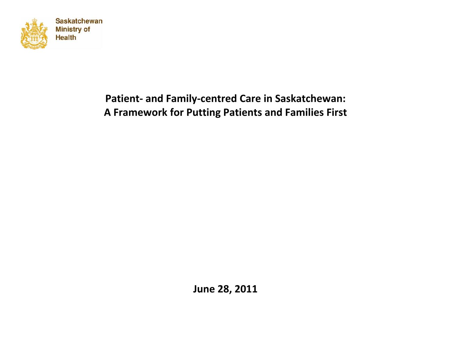

# **Patient‐ and Family‐centred Care in Saskatchewan: A Framework for Putting Patients and Families First**

**June 28, 2011**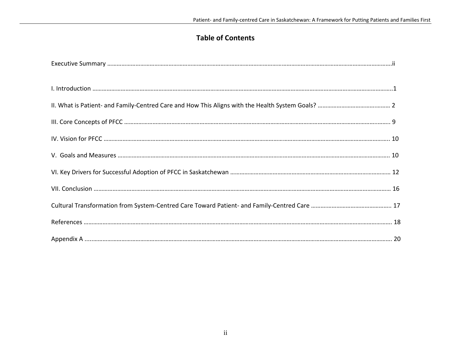## **Table of Contents**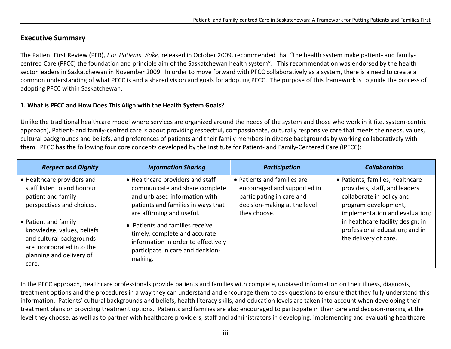## **Executive Summary**

The Patient First Review (PFR), *For Patients' Sake,* released in October 2009, recommended that "the health system make patient‐ and family‐ centred Care (PFCC) the foundation and principle aim of the Saskatchewan health system". This recommendation was endorsed by the health sector leaders in Saskatchewan in November 2009. In order to move forward with PFCC collaboratively as <sup>a</sup> system, there is <sup>a</sup> need to create <sup>a</sup> common understanding of what PFCC is and <sup>a</sup> shared vision and goals for adopting PFCC. The purpose of this framework is to guide the process of adopting PFCC within Saskatchewan.

#### **1. What is PFCC and How Does This Align with the Health System Goals?**

Unlike the traditional healthcare model where services are organized around the needs of the system and those who work in it (i.e. system‐centric approach), Patient- and family-centred care is about providing respectful, compassionate, culturally responsive care that meets the needs, values, cultural backgrounds and beliefs, and preferences of patients and their family members in diverse backgrounds by working collaboratively with them. PFCC has the following four core concepts developed by the Institute for Patient‐ and Family‐Centered Care (IPFCC):

| <b>Respect and Dignity</b>                                                                                                                       | <b>Information Sharing</b>                                                                                                                                             | <b>Participation</b>                                                                                                                    | <b>Collaboration</b>                                                                                                                                                                                                                                     |
|--------------------------------------------------------------------------------------------------------------------------------------------------|------------------------------------------------------------------------------------------------------------------------------------------------------------------------|-----------------------------------------------------------------------------------------------------------------------------------------|----------------------------------------------------------------------------------------------------------------------------------------------------------------------------------------------------------------------------------------------------------|
| • Healthcare providers and<br>staff listen to and honour<br>patient and family<br>perspectives and choices.                                      | • Healthcare providers and staff<br>communicate and share complete<br>and unbiased information with<br>patients and families in ways that<br>are affirming and useful. | • Patients and families are<br>encouraged and supported in<br>participating in care and<br>decision-making at the level<br>they choose. | • Patients, families, healthcare<br>providers, staff, and leaders<br>collaborate in policy and<br>program development,<br>implementation and evaluation;<br>in healthcare facility design; in<br>professional education; and in<br>the delivery of care. |
| • Patient and family<br>knowledge, values, beliefs<br>and cultural backgrounds<br>are incorporated into the<br>planning and delivery of<br>care. | Patients and families receive<br>$\bullet$<br>timely, complete and accurate<br>information in order to effectively<br>participate in care and decision-<br>making.     |                                                                                                                                         |                                                                                                                                                                                                                                                          |

In the PFCC approach, healthcare professionals provide patients and families with complete, unbiased information on their illness, diagnosis, treatment options and the procedures in <sup>a</sup> way they can understand and encourage them to ask questions to ensure that they fully understand this information. Patients' cultural backgrounds and beliefs, health literacy skills, and education levels are taken into account when developing their treatment plans or providing treatment options. Patients and families are also encouraged to participate in their care and decision‐making at the level they choose, as well as to partner with healthcare providers, staff and administrators in developing, implementing and evaluating healthcare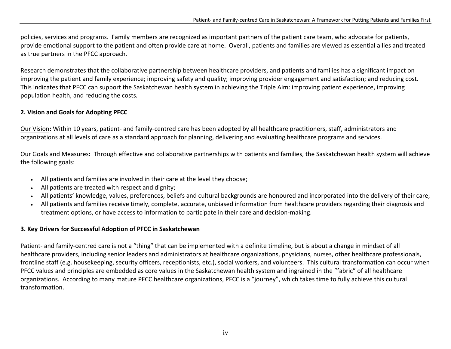policies, services and programs. Family members are recognized as important partners of the patient care team, who advocate for patients, provide emotional support to the patient and often provide care at home. Overall, patients and families are viewed as essential allies and treated as true partners in the PFCC approach.

Research demonstrates that the collaborative partnership between healthcare providers, and patients and families has <sup>a</sup> significant impact on improving the patient and family experience; improving safety and quality; improving provider engagement and satisfaction; and reducing cost. This indicates that PFCC can support the Saskatchewan health system in achieving the Triple Aim: improving patient experience, improving population health, and reducing the costs*.*

### **2. Vision and Goals for Adopting PFCC**

Our Vision**:** Within 10 years, patient‐ and family‐centred care has been adopted by all healthcare practitioners, staff, administrators and organizations at all levels of care as <sup>a</sup> standard approach for planning, delivering and evaluating healthcare programs and services.

Our Goals and Measures**:** Through effective and collaborative partnerships with patients and families, the Saskatchewan health system will achieve the following goals:

- All patients and families are involved in their care at the level they choose;
- All patients are treated with respect and dignity;
- All patients' knowledge, values, preferences, beliefs and cultural backgrounds are honoured and incorporated into the delivery of their care;
- All patients and families receive timely, complete, accurate, unbiased information from healthcare providers regarding their diagnosis and treatment options, or have access to information to participate in their care and decision‐making.

### **3. Key Drivers for Successful Adoption of PFCC in Saskatchewan**

Patient‐ and family‐centred care is not <sup>a</sup> "thing" that can be implemented with <sup>a</sup> definite timeline, but is about <sup>a</sup> change in mindset of all healthcare providers, including senior leaders and administrators at healthcare organizations, physicians, nurses, other healthcare professionals, frontline staff (e.g. housekeeping, security officers, receptionists, etc.), social workers, and volunteers. This cultural transformation can occur when PFCC values and principles are embedded as core values in the Saskatchewan health system and ingrained in the "fabric" of all healthcare organizations. According to many mature PFCC healthcare organizations, PFCC is <sup>a</sup> "journey", which takes time to fully achieve this cultural transformation.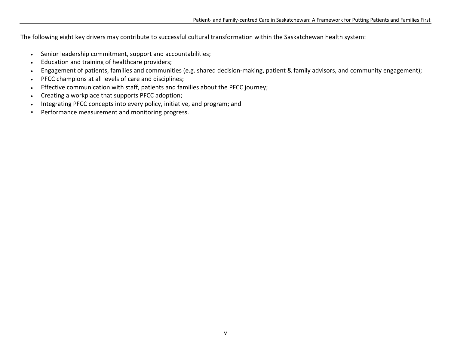The following eight key drivers may contribute to successful cultural transformation within the Saskatchewan health system:

- Senior leadership commitment, support and accountabilities;
- •Education and training of healthcare providers;
- •Engagement of patients, families and communities (e.g. shared decision-making, patient & family advisors, and community engagement);
- PFCC champions at all levels of care and disciplines;
- •Effective communication with staff, patients and families about the PFCC journey;
- •Creating <sup>a</sup> workplace that supports PFCC adoption;
- •Integrating PFCC concepts into every policy, initiative, and program; and
- •Performance measurement and monitoring progress.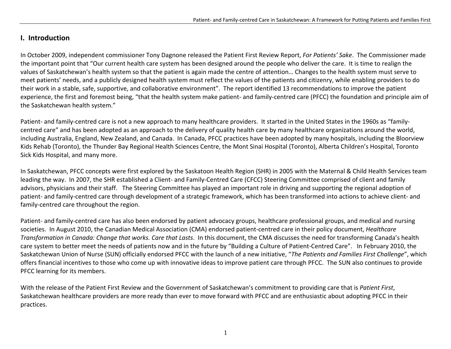### **I. Introduction**

In October 2009, independent commissioner Tony Dagnone released the Patient First Review Report, *For Patients' Sake*. The Commissioner made the important point that "Our current health care system has been designed around the people who deliver the care. It is time to realign the values of Saskatchewan's health system so that the patient is again made the centre of attention… Changes to the health system must serve to meet patients' needs, and <sup>a</sup> publicly designed health system must reflect the values of the patients and citizenry, while enabling providers to do their work in <sup>a</sup> stable, safe, supportive, and collaborative environment". The report identified 13 recommendations to improve the patient experience, the first and foremost being, "that the health system make patient‐ and family‐centred care (PFCC) the foundation and principle aim of the Saskatchewan health system."

Patient‐ and family‐centred care is not <sup>a</sup> new approach to many healthcare providers. It started in the United States in the 1960s as "family‐ centred care" and has been adopted as an approach to the delivery of quality health care by many healthcare organizations around the world, including Australia, England, New Zealand, and Canada. In Canada, PFCC practices have been adopted by many hospitals, including the Bloorview Kids Rehab (Toronto), the Thunder Bay Regional Health Sciences Centre, the Mont Sinai Hospital (Toronto), Alberta Children's Hospital, Toronto Sick Kids Hospital, and many more.

In Saskatchewan, PFCC concepts were first explored by the Saskatoon Health Region (SHR) in 2005 with the Maternal & Child Health Services team leading the way. In 2007, the SHR established <sup>a</sup> Client‐ and Family‐Centred Care (CFCC) Steering Committee comprised of client and family advisors, physicians and their staff. The Steering Committee has played an important role in driving and supporting the regional adoption of patient- and family-centred care through development of a strategic framework, which has been transformed into actions to achieve client- and family‐centred care throughout the region.

Patient‐ and family‐centred care has also been endorsed by patient advocacy groups, healthcare professional groups, and medical and nursing societies. In August 2010, the Canadian Medical Association (CMA) endorsed patient‐centred care in their policy document, *Healthcare Transformation in Canada: Change that works. Care that Lasts*. In this document, the CMA discusses the need for transforming Canada's health care system to better meet the needs of patients now and in the future by "Building <sup>a</sup> Culture of Patient‐Centred Care". In February 2010, the Saskatchewan Union of Nurse (SUN) officially endorsed PFCC with the launch of <sup>a</sup> new initiative, "*The Patients and Families First Challenge*", which offers financial incentives to those who come up with innovative ideas to improve patient care through PFCC. The SUN also continues to provide PFCC learning for its members.

With the release of the Patient First Review and the Government of Saskatchewan's commitment to providing care that is *Patient First*, Saskatchewan healthcare providers are more ready than ever to move forward with PFCC and are enthusiastic about adopting PFCC in their practices.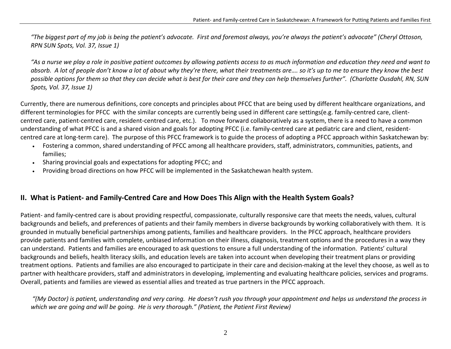"The biggest part of my job is being the patient's advocate. First and foremost always, you're always the patient's advocate" (Cheryl Ottoson, *RPN SUN Spots, Vol. 37, Issue 1)*

"As a nurse we play a role in positive patient outcomes by allowing patients access to as much information and education they need and want to absorb. A lot of people don't know a lot of about why they're there, what their treatments are…. so it's up to me to ensure they know the best possible options for them so that they can decide what is best for their care and they can help themselves further". (Charlotte Ousdahl, RN, SUN *Spots, Vol. 37, Issue 1)*

Currently, there are numerous definitions, core concepts and principles about PFCC that are being used by different healthcare organizations, and different terminologies for PFCC with the similar concepts are currently being used in different care settings(e.g. family‐centred care, client‐ centred care, patient‐centred care, resident‐centred care, etc.). To move forward collaboratively as <sup>a</sup> system, there is <sup>a</sup> need to have <sup>a</sup> common understanding of what PFCC is and a shared vision and goals for adopting PFCC (i.e. family-centred care at pediatric care and client, residentcentred care at long‐term care). The purpose of this PFCC framework is to guide the process of adopting <sup>a</sup> PFCC approach within Saskatchewan by:

- Fostering <sup>a</sup> common, shared understanding of PFCC among all healthcare providers, staff, administrators, communities, patients, and families;
- •Sharing provincial goals and expectations for adopting PFCC; and
- •Providing broad directions on how PFCC will be implemented in the Saskatchewan health system.

## II. What is Patient- and Family-Centred Care and How Does This Align with the Health System Goals?

Patient‐ and family‐centred care is about providing respectful, compassionate, culturally responsive care that meets the needs, values, cultural backgrounds and beliefs, and preferences of patients and their family members in diverse backgrounds by working collaboratively with them. It is grounded in mutually beneficial partnerships among patients, families and healthcare providers. In the PFCC approach, healthcare providers provide patients and families with complete, unbiased information on their illness, diagnosis, treatment options and the procedures in <sup>a</sup> way they can understand. Patients and families are encouraged to ask questions to ensure <sup>a</sup> full understanding of the information. Patients' cultural backgrounds and beliefs, health literacy skills, and education levels are taken into account when developing their treatment plans or providing treatment options. Patients and families are also encouraged to participate in their care and decision‐making at the level they choose, as well as to partner with healthcare providers, staff and administrators in developing, implementing and evaluating healthcare policies, services and programs. Overall, patients and families are viewed as essential allies and treated as true partners in the PFCC approach.

"(My Doctor) is patient, understanding and very caring. He doesn't rush you through your appointment and helps us understand the process in *which we are going and will be going. He is very thorough." (Patient, the Patient First Review)*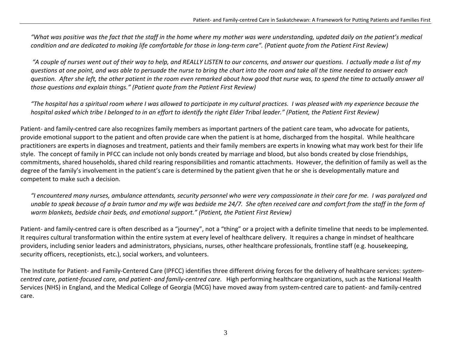"What was positive was the fact that the staff in the home where my mother was were understanding, updated daily on the patient's medical condition and are dedicated to making life comfortable for those in long-term care". (Patient quote from the Patient First Review)

"A couple of nurses went out of their way to help, and REALLY LISTEN to our concerns, and answer our questions. I actually made a list of my questions at one point, and was able to persuade the nurse to bring the chart into the room and take all the time needed to answer each question. After she left, the other patient in the room even remarked about how good that nurse was, to spend the time to actually answer all *those questions and explain things." (Patient quote from the Patient First Review)*

"The hospital has a spiritual room where I was allowed to participate in my cultural practices. I was pleased with my experience because the hospital asked which tribe I belonged to in an effort to identify the right Elder Tribal leader." (Patient, the Patient First Review)

Patient‐ and family‐centred care also recognizes family members as important partners of the patient care team, who advocate for patients, provide emotional support to the patient and often provide care when the patient is at home, discharged from the hospital. While healthcare practitioners are experts in diagnoses and treatment, patients and their family members are experts in knowing what may work best for their life style. The concept of family in PFCC can include not only bonds created by marriage and blood, but also bonds created by close friendships, commitments, shared households, shared child rearing responsibilities and romantic attachments. However, the definition of family as well as the degree of the family's involvement in the patient's care is determined by the patient given that he or she is developmentally mature and competent to make such <sup>a</sup> decision.

"I encountered many nurses, ambulance attendants, security personnel who were very compassionate in their care for me. I was paralyzed and unable to speak because of a brain tumor and my wife was bedside me 24/7. She often received care and comfort from the staff in the form of *warm blankets, bedside chair beds, and emotional support." (Patient, the Patient First Review)*

Patient‐ and family‐centred care is often described as <sup>a</sup> "journey", not <sup>a</sup> "thing" or <sup>a</sup> project with <sup>a</sup> definite timeline that needs to be implemented. It requires cultural transformation within the entire system at every level of healthcare delivery. It requires <sup>a</sup> change in mindset of healthcare providers, including senior leaders and administrators, physicians, nurses, other healthcare professionals, frontline staff (e.g. housekeeping, security officers, receptionists, etc.), social workers, and volunteers.

The Institute for Patient‐ and Family‐Centered Care (IPFCC) identifies three different driving forces for the delivery of healthcare services: <sup>s</sup>*ystem‐* centred care, patient-focused care, and patient- and family-centred care. High performing healthcare organizations, such as the National Health Services (NHS) in England, and the Medical College of Georgia (MCG) have moved away from system‐centred care to patient‐ and family‐centred care.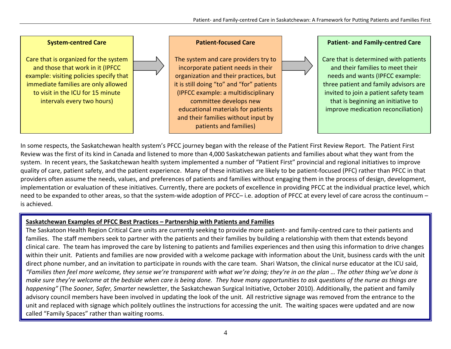

In some respects, the Saskatchewan health system's PFCC journey began with the release of the Patient First Review Report. The Patient First Review was the first of its kind in Canada and listened to more than 4,000 Saskatchewan patients and families about what they want from the system. In recent years, the Saskatchewan health system implemented <sup>a</sup> number of "Patient First" provincial and regional initiatives to improve quality of care, patient safety, and the patient experience. Many of these initiatives are likely to be patient‐focused (PFC) rather than PFCC in that providers often assume the needs, values, and preferences of patients and families without engaging them in the process of design, development, implementation or evaluation of these initiatives. Currently, there are pockets of excellence in providing PFCC at the individual practice level, which need to be expanded to other areas, so that the system-wide adoption of PFCC– i.e. adoption of PFCC at every level of care across the continuum – is achieved.

#### **Saskatchewan Examples of PFCC Best Practices – Partnership with Patients and Families**

The Saskatoon Health Region Critical Care units are currently seeking to provide more patient‐ and family‐centred care to their patients and families. The staff members seek to partner with the patients and their families by building <sup>a</sup> relationship with them that extends beyond clinical care. The team has improved the care by listening to patients and families experiences and then using this information to drive changes within their unit. Patients and families are now provided with <sup>a</sup> welcome package with information about the Unit, business cards with the unit direct phone number, and an invitation to participate in rounds with the care team. Shari Watson, the clinical nurse educator at the ICU said, "Families then feel more welcome, they sense we're transparent with what we're doing; they're in on the plan … The other thing we've done is make sure they're welcome at the bedside when care is being done. They have many opportunities to ask questions of the nurse as things are *happening"* (The *Sooner, Safer, Smarter* newsletter, the Saskatchewan Surgical Initiative, October 2010). Additionally, the patient and family advisory council members have been involved in updating the look of the unit. All restrictive signage was removed from the entrance to the unit and replaced with signage which politely outlines the instructions for accessing the unit. The waiting spaces were updated and are now called "Family Spaces" rather than waiting rooms.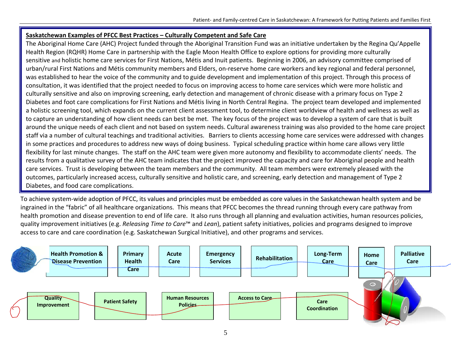#### **Saskatchewan Examples of PFCC Best Practices – Culturally Competent and Safe Care**

The Aboriginal Home Care (AHC) Project funded through the Aboriginal Transition Fund was an initiative undertaken by the Regina Qu'Appelle Health Region (RQHR) Home Care in partnership with the Eagle Moon Health Office to explore options for providing more culturally sensitive and holistic home care services for First Nations, Métis and Inuit patients. Beginning in 2006, an advisory committee comprised of urban/rural First Nations and Métis community members and Elders, on-reserve home care workers and key regional and federal personnel, was established to hear the voice of the community and to guide development and implementation of this project. Through this process of consultation, it was identified that the project needed to focus on improving access to home care services which were more holistic and culturally sensitive and also on improving screening, early detection and management of chronic disease with <sup>a</sup> primary focus on Type 2 Diabetes and foot care complications for First Nations and Métis living in North Central Regina. The project team developed and implemented a holistic screening tool, which expands on the current client assessment tool, to determine client worldview of health and wellness as well as to capture an understanding of how client needs can best be met. The key focus of the project was to develop <sup>a</sup> system of care that is built around the unique needs of each client and not based on system needs. Cultural awareness training was also provided to the home care project staff via <sup>a</sup> number of cultural teachings and traditional activities. Barriers to clients accessing home care services were addressed with changes in some practices and procedures to address new ways of doing business. Typical scheduling practice within home care allows very little flexibility for last minute changes. The staff on the AHC team were given more autonomy and flexibility to accommodate clients' needs. The results from <sup>a</sup> qualitative survey of the AHC team indicates that the project improved the capacity and care for Aboriginal people and health care services. Trust is developing between the team members and the community. All team members were extremely pleased with the outcomes, particularly increased access, culturally sensitive and holistic care, and screening, early detection and management of Type 2 Diabetes, and food care complications.

To achieve system‐wide adoption of PFCC, its values and principles must be embedded as core values in the Saskatchewan health system and be ingrained in the "fabric" of all healthcare organizations. This means that PFCC becomes the thread running through every care pathway from health promotion and disease prevention to end of life care. It also runs through all planning and evaluation activities, human resources policies, quality improvement initiatives (e.g. *Releasing Time to Care*™ and *Lean*), patient safety initiatives, policies and programs designed to improve access to care and care coordination (e.g. Saskatchewan Surgical Initiative), and other programs and services.

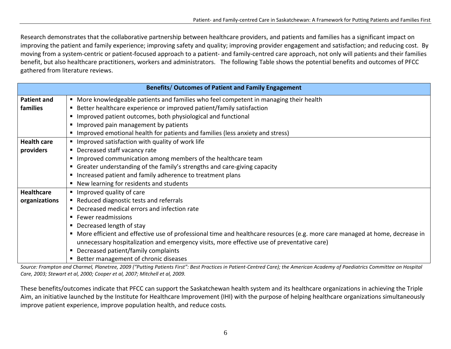Research demonstrates that the collaborative partnership between healthcare providers, and patients and families has <sup>a</sup> significant impact on improving the patient and family experience; improving safety and quality; improving provider engagement and satisfaction; and reducing cost. By moving from <sup>a</sup> system‐centric or patient‐focused approach to <sup>a</sup> patient‐ and family‐centred care approach, not only will patients and their families benefit, but also healthcare practitioners, workers and administrators. The following Table shows the potential benefits and outcomes of PFCC gathered from literature reviews.

| <b>Benefits/ Outcomes of Patient and Family Engagement</b>                                |                                                                                                                             |  |  |
|-------------------------------------------------------------------------------------------|-----------------------------------------------------------------------------------------------------------------------------|--|--|
| <b>Patient and</b>                                                                        | ■ More knowledgeable patients and families who feel competent in managing their health                                      |  |  |
| ■ Better healthcare experience or improved patient/family satisfaction<br><b>families</b> |                                                                                                                             |  |  |
|                                                                                           | Improved patient outcomes, both physiological and functional                                                                |  |  |
|                                                                                           | Improved pain management by patients                                                                                        |  |  |
|                                                                                           | Improved emotional health for patients and families (less anxiety and stress)                                               |  |  |
| <b>Health care</b>                                                                        | Improved satisfaction with quality of work life                                                                             |  |  |
| providers                                                                                 | • Decreased staff vacancy rate                                                                                              |  |  |
|                                                                                           | Improved communication among members of the healthcare team                                                                 |  |  |
|                                                                                           | • Greater understanding of the family's strengths and care-giving capacity                                                  |  |  |
|                                                                                           | Increased patient and family adherence to treatment plans                                                                   |  |  |
|                                                                                           | ■ New learning for residents and students                                                                                   |  |  |
| <b>Healthcare</b>                                                                         | Improved quality of care                                                                                                    |  |  |
| organizations                                                                             | Reduced diagnostic tests and referrals                                                                                      |  |  |
|                                                                                           | • Decreased medical errors and infection rate                                                                               |  |  |
|                                                                                           | ■ Fewer readmissions                                                                                                        |  |  |
|                                                                                           | • Decreased length of stay                                                                                                  |  |  |
|                                                                                           | More efficient and effective use of professional time and healthcare resources (e.g. more care managed at home, decrease in |  |  |
|                                                                                           | unnecessary hospitalization and emergency visits, more effective use of preventative care)                                  |  |  |
|                                                                                           | Decreased patient/family complaints                                                                                         |  |  |
|                                                                                           | Better management of chronic diseases                                                                                       |  |  |

Source: Frampton and Charmel, Planetree, 2009 ("Putting Patients First": Best Practices in Patient-Centred Care); the American Academy of Paediatrics Committee on Hospital *Care, 2003; Stewart et al, 2000; Cooper et al, 2007; Mitchell et al, 2009.*

These benefits/outcomes indicate that PFCC can support the Saskatchewan health system and its healthcare organizations in achieving the Triple Aim, an initiative launched by the Institute for Healthcare Improvement (IHI) with the purpose of helping healthcare organizations simultaneously improve patient experience, improve population health, and reduce costs*.*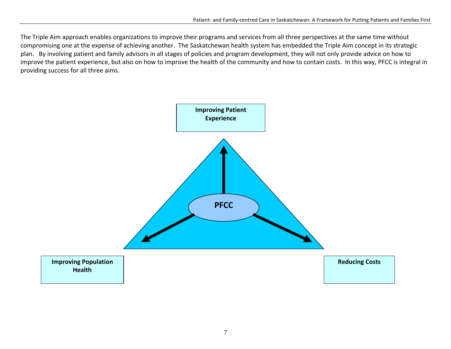The Triple Aim approach enables organizations to improve their programs and services from all three perspectives at the same time without compromising one at the expense of achieving another. The Saskatchewan health system has embedded the Triple Aim concept in its strategic plan. By involving patient and family advisors in all stages of policies and program development, they will not only provide advice on how to improve the patient experience, but also on how to improve the health of the community and how to contain costs. In this way, PFCC is integral in providing success for all three aims.

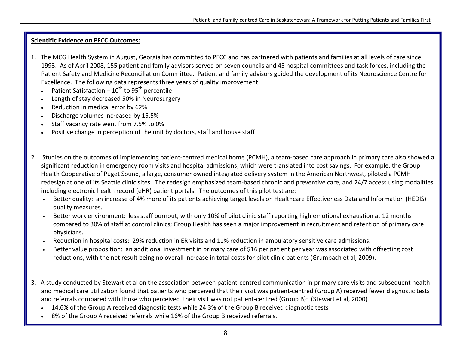#### **Scientific Evidence on PFCC Outcomes:**

- 1. The MCG Health System in August, Georgia has committed to PFCC and has partnered with patients and families at all levels of care since 1993. As of April 2008, 155 patient and family advisors served on seven councils and 45 hospital committees and task forces, including the Patient Safety and Medicine Reconciliation Committee. Patient and family advisors guided the development of its Neuroscience Centre for Excellence. The following data represents three years of quality improvement:
	- •• Patient Satisfaction –  $10^{\text{th}}$  to 95<sup>th</sup> percentile
	- •Length of stay decreased 50% in Neurosurgery
	- •Reduction in medical error by 62%
	- Discharge volumes increased by 15.5%
	- Staff vacancy rate went from 7.5% to 0%
	- •Positive change in perception of the unit by doctors, staff and house staff
- 2. Studies on the outcomes of implementing patient‐centred medical home (PCMH), <sup>a</sup> team‐based care approach in primary care also showed <sup>a</sup> significant reduction in emergency room visits and hospital admissions, which were translated into cost savings. For example, the Group Health Cooperative of Puget Sound, <sup>a</sup> large, consumer owned integrated delivery system in the American Northwest, piloted <sup>a</sup> PCMH redesign at one of its Seattle clinic sites. The redesign emphasized team-based chronic and preventive care, and 24/7 access using modalities including electronic health record (eHR) patient portals. The outcomes of this pilot test are:
	- • Better quality: an increase of 4% more of its patients achieving target levels on Healthcare Effectiveness Data and Information (HEDIS) quality measures.
	- •Better work environment: less staff burnout, with only 10% of pilot clinic staff reporting high emotional exhaustion at 12 months compared to 30% of staff at control clinics; Group Health has seen <sup>a</sup> major improvement in recruitment and retention of primary care physicians.
	- •• Reduction in hospital costs: 29% reduction in ER visits and 11% reduction in ambulatory sensitive care admissions.
	- •• Better value proposition: an additional investment in primary care of \$16 per patient per year was associated with offsetting cost reductions, with the net result being no overall increase in total costs for pilot clinic patients (Grumbach et al, 2009).
- 3. A study conducted by Stewart et al on the association between patient‐centred communication in primary care visits and subsequent health and medical care utilization found that patients who perceived that their visit was patient‐centred (Group A) received fewer diagnostic tests and referrals compared with those who perceived their visit was not patient‐centred (Group B): (Stewart et al, 2000)
	- 14.6% of the Group A received diagnostic tests while 24.3% of the Group B received diagnostic tests
	- •8% of the Group A received referrals while 16% of the Group B received referrals.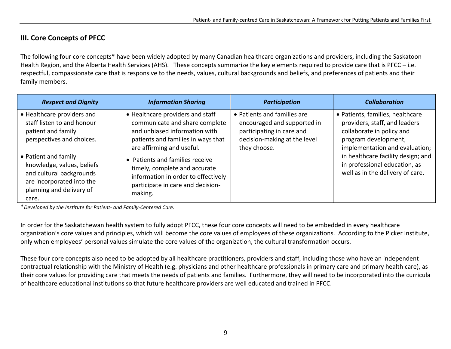## **III. Core Concepts of PFCC**

The following four core concepts\* have been widely adopted by many Canadian healthcare organizations and providers, including the Saskatoon Health Region, and the Alberta Health Services (AHS). These concepts summarize the key elements required to provide care that is PFCC – i.e. respectful, compassionate care that is responsive to the needs, values, cultural backgrounds and beliefs, and preferences of patients and their family members.

| <b>Respect and Dignity</b>                                                                                                                       | <b>Information Sharing</b>                                                                                                                                             | <b>Participation</b>                                                                                                                    | <b>Collaboration</b>                                                                                                                                                                                                                                                |
|--------------------------------------------------------------------------------------------------------------------------------------------------|------------------------------------------------------------------------------------------------------------------------------------------------------------------------|-----------------------------------------------------------------------------------------------------------------------------------------|---------------------------------------------------------------------------------------------------------------------------------------------------------------------------------------------------------------------------------------------------------------------|
| • Healthcare providers and<br>staff listen to and honour<br>patient and family<br>perspectives and choices.                                      | • Healthcare providers and staff<br>communicate and share complete<br>and unbiased information with<br>patients and families in ways that<br>are affirming and useful. | • Patients and families are<br>encouraged and supported in<br>participating in care and<br>decision-making at the level<br>they choose. | · Patients, families, healthcare<br>providers, staff, and leaders<br>collaborate in policy and<br>program development,<br>implementation and evaluation;<br>in healthcare facility design; and<br>in professional education, as<br>well as in the delivery of care. |
| • Patient and family<br>knowledge, values, beliefs<br>and cultural backgrounds<br>are incorporated into the<br>planning and delivery of<br>care. | • Patients and families receive<br>timely, complete and accurate<br>information in order to effectively<br>participate in care and decision-<br>making.                |                                                                                                                                         |                                                                                                                                                                                                                                                                     |

\**Developed by the Institute for Patient‐ and Family‐Centered Care*.

In order for the Saskatchewan health system to fully adopt PFCC, these four core concepts will need to be embedded in every healthcare organization's core values and principles, which will become the core values of employees of these organizations. According to the Picker Institute, only when employees' personal values simulate the core values of the organization, the cultural transformation occurs.

These four core concepts also need to be adopted by all healthcare practitioners, providers and staff, including those who have an independent contractual relationship with the Ministry of Health (e.g. physicians and other healthcare professionals in primary care and primary health care), as their core values for providing care that meets the needs of patients and families. Furthermore, they will need to be incorporated into the curricula of healthcare educational institutions so that future healthcare providers are well educated and trained in PFCC.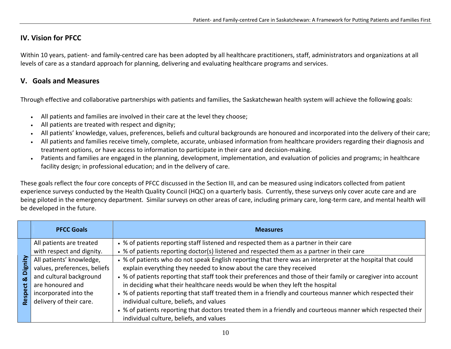## **IV. Vision for PFCC**

Within 10 years, patient‐ and family‐centred care has been adopted by all healthcare practitioners, staff, administrators and organizations at all levels of care as <sup>a</sup> standard approach for planning, delivering and evaluating healthcare programs and services.

### **V. Goals and Measures**

Through effective and collaborative partnerships with patients and families, the Saskatchewan health system will achieve the following goals:

- All patients and families are involved in their care at the level they choose;
- All patients are treated with respect and dignity;
- •All patients' knowledge, values, preferences, beliefs and cultural backgrounds are honoured and incorporated into the delivery of their care;
- • All patients and families receive timely, complete, accurate, unbiased information from healthcare providers regarding their diagnosis and treatment options, or have access to information to participate in their care and decision‐making.
- • Patients and families are engaged in the planning, development, implementation, and evaluation of policies and programs; in healthcare facility design; in professional education; and in the delivery of care.

These goals reflect the four core concepts of PFCC discussed in the Section III, and can be measured using indicators collected from patient experience surveys conducted by the Health Quality Council (HQC) on <sup>a</sup> quarterly basis. Currently, these surveys only cover acute care and are being piloted in the emergency department. Similar surveys on other areas of care, including primary care, long-term care, and mental health will be developed in the future.

|                         | <b>PFCC Goals</b>                                                                                                                                                                        | <b>Measures</b>                                                                                                                                                                                                                                                                                                                                                                                                                                                                                                                                                                                                                                                                                                                                              |
|-------------------------|------------------------------------------------------------------------------------------------------------------------------------------------------------------------------------------|--------------------------------------------------------------------------------------------------------------------------------------------------------------------------------------------------------------------------------------------------------------------------------------------------------------------------------------------------------------------------------------------------------------------------------------------------------------------------------------------------------------------------------------------------------------------------------------------------------------------------------------------------------------------------------------------------------------------------------------------------------------|
|                         | All patients are treated                                                                                                                                                                 | • % of patients reporting staff listened and respected them as a partner in their care                                                                                                                                                                                                                                                                                                                                                                                                                                                                                                                                                                                                                                                                       |
| <u>೬೦</u><br>οð<br>Resp | with respect and dignity.<br>All patients' knowledge,<br>values, preferences, beliefs<br>and cultural background<br>are honoured and<br>incorporated into the<br>delivery of their care. | • % of patients reporting doctor(s) listened and respected them as a partner in their care<br>• % of patients who do not speak English reporting that there was an interpreter at the hospital that could<br>explain everything they needed to know about the care they received<br>• % of patients reporting that staff took their preferences and those of their family or caregiver into account<br>in deciding what their healthcare needs would be when they left the hospital<br>• % of patients reporting that staff treated them in a friendly and courteous manner which respected their<br>individual culture, beliefs, and values<br>• % of patients reporting that doctors treated them in a friendly and courteous manner which respected their |
|                         |                                                                                                                                                                                          | individual culture, beliefs, and values                                                                                                                                                                                                                                                                                                                                                                                                                                                                                                                                                                                                                                                                                                                      |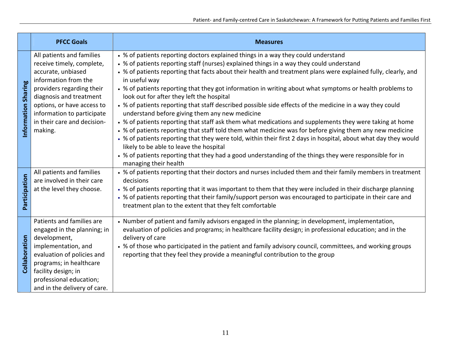|                     | <b>PFCC Goals</b>                                                                                                                                                                                                                                                  | <b>Measures</b>                                                                                                                                                                                                                                                                                                                                                                                                                                                                                                                                                                                                                                                                                                                                                                                                                                                                                                                                                                                                                                                                                                                                                  |
|---------------------|--------------------------------------------------------------------------------------------------------------------------------------------------------------------------------------------------------------------------------------------------------------------|------------------------------------------------------------------------------------------------------------------------------------------------------------------------------------------------------------------------------------------------------------------------------------------------------------------------------------------------------------------------------------------------------------------------------------------------------------------------------------------------------------------------------------------------------------------------------------------------------------------------------------------------------------------------------------------------------------------------------------------------------------------------------------------------------------------------------------------------------------------------------------------------------------------------------------------------------------------------------------------------------------------------------------------------------------------------------------------------------------------------------------------------------------------|
| Information Sharing | All patients and families<br>receive timely, complete,<br>accurate, unbiased<br>information from the<br>providers regarding their<br>diagnosis and treatment<br>options, or have access to<br>information to participate<br>in their care and decision-<br>making. | • % of patients reporting doctors explained things in a way they could understand<br>• % of patients reporting staff (nurses) explained things in a way they could understand<br>• % of patients reporting that facts about their health and treatment plans were explained fully, clearly, and<br>in useful way<br>• % of patients reporting that they got information in writing about what symptoms or health problems to<br>look out for after they left the hospital<br>• % of patients reporting that staff described possible side effects of the medicine in a way they could<br>understand before giving them any new medicine<br>• % of patients reporting that staff ask them what medications and supplements they were taking at home<br>• % of patients reporting that staff told them what medicine was for before giving them any new medicine<br>• % of patients reporting that they were told, within their first 2 days in hospital, about what day they would<br>likely to be able to leave the hospital<br>• % of patients reporting that they had a good understanding of the things they were responsible for in<br>managing their health |
| Participation       | All patients and families<br>are involved in their care<br>at the level they choose.                                                                                                                                                                               | • % of patients reporting that their doctors and nurses included them and their family members in treatment<br>decisions<br>• % of patients reporting that it was important to them that they were included in their discharge planning<br>• % of patients reporting that their family/support person was encouraged to participate in their care and<br>treatment plan to the extent that they felt comfortable                                                                                                                                                                                                                                                                                                                                                                                                                                                                                                                                                                                                                                                                                                                                                 |
| Collaboration       | Patients and families are<br>engaged in the planning; in<br>development,<br>implementation, and<br>evaluation of policies and<br>programs; in healthcare<br>facility design; in<br>professional education;<br>and in the delivery of care.                         | • Number of patient and family advisors engaged in the planning; in development, implementation,<br>evaluation of policies and programs; in healthcare facility design; in professional education; and in the<br>delivery of care<br>• % of those who participated in the patient and family advisory council, committees, and working groups<br>reporting that they feel they provide a meaningful contribution to the group                                                                                                                                                                                                                                                                                                                                                                                                                                                                                                                                                                                                                                                                                                                                    |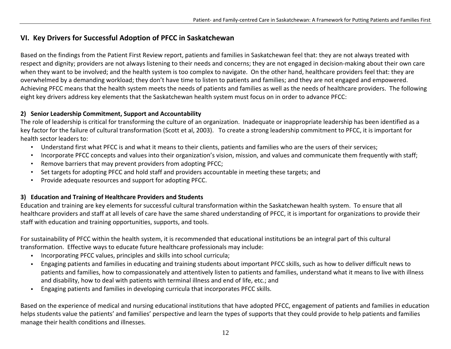## **VI. Key Drivers for Successful Adoption of PFCC in Saskatchewan**

Based on the findings from the Patient First Review report, patients and families in Saskatchewan feel that: they are not always treated with respect and dignity; providers are not always listening to their needs and concerns; they are not engaged in decision‐making about their own care when they want to be involved; and the health system is too complex to navigate. On the other hand, healthcare providers feel that: they are overwhelmed by <sup>a</sup> demanding workload; they don't have time to listen to patients and families; and they are not engaged and empowered. Achieving PFCC means that the health system meets the needs of patients and families as well as the needs of healthcare providers. The following eight key drivers address key elements that the Saskatchewan health system must focus on in order to advance PFCC:

#### **2) Senior Leadership Commitment, Support and Accountability**

The role of leadership is critical for transforming the culture of an organization. Inadequate or inappropriate leadership has been identified as <sup>a</sup> key factor for the failure of cultural transformation (Scott et al, 2003). To create <sup>a</sup> strong leadership commitment to PFCC, it is important for health sector leaders to:

- Understand first what PFCC is and what it means to their clients, patients and families who are the users of their services;
- •Incorporate PFCC concepts and values into their organization's vision, mission, and values and communicate them frequently with staff;
- Remove barriers that may prevent providers from adopting PFCC;
- Set targets for adopting PFCC and hold staff and providers accountable in meeting these targets; and
- •• Provide adequate resources and support for adopting PFCC.

#### **3) Education and Training of Healthcare Providers and Students**

Education and training are key elements for successful cultural transformation within the Saskatchewan health system. To ensure that all healthcare providers and staff at all levels of care have the same shared understanding of PFCC, it is important for organizations to provide their staff with education and training opportunities, supports, and tools.

For sustainability of PFCC within the health system, it is recommended that educational institutions be an integral part of this cultural transformation. Effective ways to educate future healthcare professionals may include:

- Incorporating PFCC values, principles and skills into school curricula;
- $\mathbf{r}$  Engaging patients and families in educating and training students about important PFCC skills, such as how to deliver difficult news to patients and families, how to compassionately and attentively listen to patients and families, understand what it means to live with illness and disability, how to deal with patients with terminal illness and end of life, etc.; and
- $\blacksquare$ Engaging patients and families in developing curricula that incorporates PFCC skills.

Based on the experience of medical and nursing educational institutions that have adopted PFCC, engagement of patients and families in education helps students value the patients' and families' perspective and learn the types of supports that they could provide to help patients and families manage their health conditions and illnesses.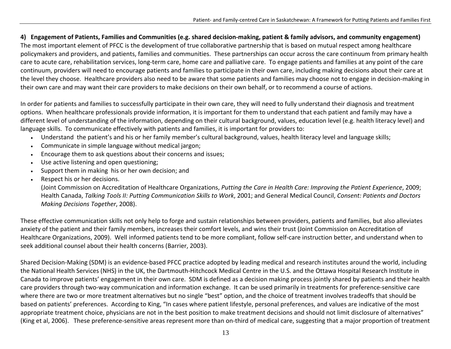#### 4) Engagement of Patients, Families and Communities (e.g. shared decision-making, patient & family advisors, and community engagement)

The most important element of PFCC is the development of true collaborative partnership that is based on mutual respect among healthcare policymakers and providers, and patients, families and communities. These partnerships can occur across the care continuum from primary health care to acute care, rehabilitation services, long‐term care, home care and palliative care. To engage patients and families at any point of the care continuum, providers will need to encourage patients and families to participate in their own care, including making decisions about their care at the level they choose. Healthcare providers also need to be aware that some patients and families may choose not to engage in decision‐making in their own care and may want their care providers to make decisions on their own behalf, or to recommend <sup>a</sup> course of actions.

In order for patients and families to successfully participate in their own care, they will need to fully understand their diagnosis and treatment options. When healthcare professionals provide information, it is important for them to understand that each patient and family may have <sup>a</sup> different level of understanding of the information, depending on their cultural background, values, education level (e.g. health literacy level) and language skills. To communicate effectively with patients and families, it is important for providers to:

- •Understand the patient's and his or her family member's cultural background, values, health literacy level and language skills;
- Communicate in simple language without medical jargon;
- Encourage them to ask questions about their concerns and issues;
- Use active listening and open questioning;
- •Support them in making his or her own decision; and
- •Respect his or her decisions.

(Joint Commission on Accreditation of Healthcare Organizations, *Putting the Care in Health Care: Improving the Patient Experience*, 2009; Health Canada, *Talking Tools II: Putting Communication Skills to Work*, 2001; and General Medical Council, *Consent: Patients and Doctors Making Decisions Together*, 2008).

These effective communication skills not only help to forge and sustain relationships between providers, patients and families, but also alleviates anxiety of the patient and their family members, increases their comfort levels, and wins their trust (Joint Commission on Accreditation of Healthcare Organizations, 2009). Well informed patients tend to be more compliant, follow self‐care instruction better, and understand when to seek additional counsel about their health concerns (Barrier, 2003).

Shared Decision‐Making (SDM) is an evidence‐based PFCC practice adopted by leading medical and research institutes around the world, including the National Health Services (NHS) in the UK, the Dartmouth‐Hitchcock Medical Centre in the U.S. and the Ottawa Hospital Research Institute in Canada to improve patients' engagement in their own care. SDM is defined as <sup>a</sup> decision making process jointly shared by patients and their health care providers through two‐way communication and information exchange. It can be used primarily in treatments for preference‐sensitive care where there are two or more treatment alternatives but no single "best" option, and the choice of treatment involves tradeoffs that should be based on patients' preferences. According to King, "In cases where patient lifestyle, personal preferences, and values are indicative of the most appropriate treatment choice, physicians are not in the best position to make treatment decisions and should not limit disclosure of alternatives" (King et al, 2006). These preference-sensitive areas represent more than on-third of medical care, suggesting that a major proportion of treatment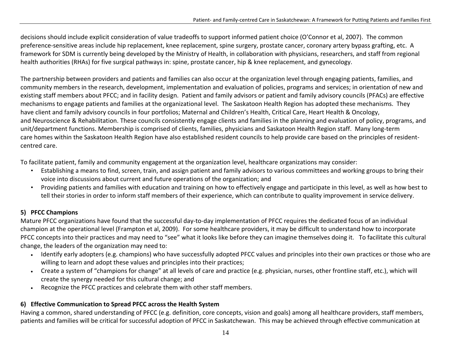decisions should include explicit consideration of value tradeoffs to support informed patient choice (O'Connor et al, 2007). The common preference-sensitive areas include hip replacement, knee replacement, spine surgery, prostate cancer, coronary artery bypass grafting, etc. A framework for SDM is currently being developed by the Ministry of Health, in collaboration with physicians, researchers, and staff from regional health authorities (RHAs) for five surgical pathways in: spine, prostate cancer, hip & knee replacement, and gynecology.

The partnership between providers and patients and families can also occur at the organization level through engaging patients, families, and community members in the research, development, implementation and evaluation of policies, programs and services; in orientation of new and existing staff members about PFCC; and in facility design. Patient and family advisors or patient and family advisory councils (PFACs) are effective mechanisms to engage patients and families at the organizational level. The Saskatoon Health Region has adopted these mechanisms. They have client and family advisory councils in four portfolios; Maternal and Children's Health, Critical Care, Heart Health & Oncology, and Neuroscience & Rehabilitation. These councils consistently engage clients and families in the planning and evaluation of policy, programs, and unit/department functions. Membership is comprised of clients, families, physicians and Saskatoon Health Region staff. Many long‐term care homes within the Saskatoon Health Region have also established resident councils to help provide care based on the principles of resident‐ centred care.

To facilitate patient, family and community engagement at the organization level, healthcare organizations may consider:

- Establishing <sup>a</sup> means to find, screen, train, and assign patient and family advisors to various committees and working groups to bring their voice into discussions about current and future operations of the organization; and
- Providing patients and families with education and training on how to effectively engage and participate in this level, as well as how best to tell their stories in order to inform staff members of their experience, which can contribute to quality improvement in service delivery.

### **5) PFCC Champions**

Mature PFCC organizations have found that the successful day‐to‐day implementation of PFCC requires the dedicated focus of an individual champion at the operational level (Frampton et al, 2009). For some healthcare providers, it may be difficult to understand how to incorporate PFCC concepts into their practices and may need to "see" what it looks like before they can imagine themselves doing it. To facilitate this cultural change, the leaders of the organization may need to:

- Identify early adopters (e.g. champions) who have successfully adopted PFCC values and principles into their own practices or those who are willing to learn and adopt these values and principles into their practices;
- Create <sup>a</sup> system of "champions for change" at all levels of care and practice (e.g. physician, nurses, other frontline staff, etc.), which will create the synergy needed for this cultural change; and
- Recognize the PFCC practices and celebrate them with other staff members.

### **6) Effective Communication to Spread PFCC across the Health System**

Having <sup>a</sup> common, shared understanding of PFCC (e.g. definition, core concepts, vision and goals) among all healthcare providers, staff members, patients and families will be critical for successful adoption of PFCC in Saskatchewan. This may be achieved through effective communication at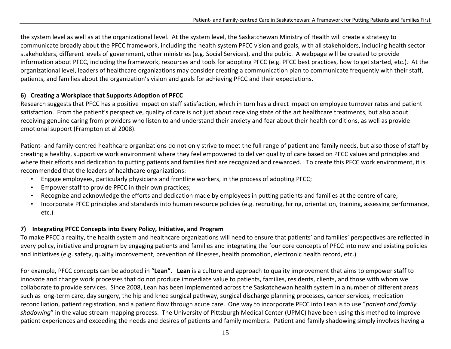the system level as well as at the organizational level. At the system level, the Saskatchewan Ministry of Health will create <sup>a</sup> strategy to communicate broadly about the PFCC framework, including the health system PFCC vision and goals, with all stakeholders, including health sector stakeholders, different levels of government, other ministries (e.g. Social Services), and the public. A webpage will be created to provide information about PFCC, including the framework, resources and tools for adopting PFCC (e.g. PFCC best practices, how to get started, etc.). At the organizational level, leaders of healthcare organizations may consider creating <sup>a</sup> communication plan to communicate frequently with their staff, patients, and families about the organization's vision and goals for achieving PFCC and their expectations.

### **6) Creating <sup>a</sup> Workplace that Supports Adoption of PFCC**

Research suggests that PFCC has <sup>a</sup> positive impact on staff satisfaction, which in turn has <sup>a</sup> direct impact on employee turnover rates and patient satisfaction. From the patient's perspective, quality of care is not just about receiving state of the art healthcare treatments, but also about receiving genuine caring from providers who listen to and understand their anxiety and fear about their health conditions, as well as provide emotional support (Frampton et al 2008).

Patient‐ and family‐centred healthcare organizations do not only strive to meet the full range of patient and family needs, but also those of staff by creating <sup>a</sup> healthy, supportive work environment where they feel empowered to deliver quality of care based on PFCC values and principles and where their efforts and dedication to putting patients and families first are recognized and rewarded. To create this PFCC work environment, it is recommended that the leaders of healthcare organizations:

- Engage employees, particularly physicians and frontline workers, in the process of adopting PFCC;
- Empower staff to provide PFCC in their own practices;
- Recognize and acknowledge the efforts and dedication made by employees in putting patients and families at the centre of care;
- • Incorporate PFCC principles and standards into human resource policies (e.g. recruiting, hiring, orientation, training, assessing performance, etc.)

### **7) Integrating PFCC Concepts into Every Policy, Initiative, and Program**

To make PFCC <sup>a</sup> reality, the health system and healthcare organizations will need to ensure that patients' and families' perspectives are reflected in every policy, initiative and program by engaging patients and families and integrating the four core concepts of PFCC into new and existing policies and initiatives (e.g. safety, quality improvement, prevention of illnesses, health promotion, electronic health record, etc.)

For example, PFCC concepts can be adopted in "**Lean"**. **Lean** is <sup>a</sup> culture and approach to quality improvement that aims to empower staff to innovate and change work processes that do not produce immediate value to patients, families, residents, clients, and those with whom we collaborate to provide services. Since 2008, Lean has been implemented across the Saskatchewan health system in <sup>a</sup> number of different areas such as long‐term care, day surgery, the hip and knee surgical pathway, surgical discharge planning processes, cancer services, medication reconciliation, patient registration, and <sup>a</sup> patient flow through acute care. One way to incorporate PFCC into Lean is to use "*patient and family shadowing*" in the value stream mapping process. The University of Pittsburgh Medical Center (UPMC) have been using this method to improve patient experiences and exceeding the needs and desires of patients and family members. Patient and family shadowing simply involves having <sup>a</sup>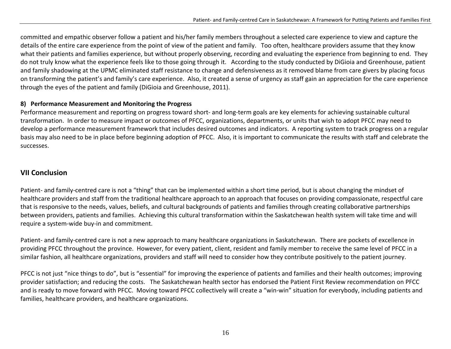committed and empathic observer follow <sup>a</sup> patient and his/her family members throughout <sup>a</sup> selected care experience to view and capture the details of the entire care experience from the point of view of the patient and family. Too often, healthcare providers assume that they know what their patients and families experience, but without properly observing, recording and evaluating the experience from beginning to end. They do not truly know what the experience feels like to those going through it. According to the study conducted by DiGioia and Greenhouse, patient and family shadowing at the UPMC eliminated staff resistance to change and defensiveness as it removed blame from care givers by placing focus on transforming the patient's and family's care experience. Also, it created <sup>a</sup> sense of urgency as staff gain an appreciation for the care experience through the eyes of the patient and family (DiGioia and Greenhouse, 2011).

### **8) Performance Measurement and Monitoring the Progress**

Performance measurement and reporting on progress toward short‐ and long‐term goals are key elements for achieving sustainable cultural transformation. In order to measure impact or outcomes of PFCC, organizations, departments, or units that wish to adopt PFCC may need to develop <sup>a</sup> performance measurement framework that includes desired outcomes and indicators. A reporting system to track progress on <sup>a</sup> regular basis may also need to be in place before beginning adoption of PFCC. Also, it is important to communicate the results with staff and celebrate the successes.

### **VII Conclusion**

Patient‐ and family‐centred care is not <sup>a</sup> "thing" that can be implemented within <sup>a</sup> short time period, but is about changing the mindset of healthcare providers and staff from the traditional healthcare approach to an approach that focuses on providing compassionate, respectful care that is responsive to the needs, values, beliefs, and cultural backgrounds of patients and families through creating collaborative partnerships between providers, patients and families. Achieving this cultural transformation within the Saskatchewan health system will take time and will require <sup>a</sup> system‐wide buy‐in and commitment.

Patient‐ and family‐centred care is not <sup>a</sup> new approach to many healthcare organizations in Saskatchewan. There are pockets of excellence in providing PFCC throughout the province. However, for every patient, client, resident and family member to receive the same level of PFCC in <sup>a</sup> similar fashion, all healthcare organizations, providers and staff will need to consider how they contribute positively to the patient journey.

PFCC is not just "nice things to do", but is "essential" for improving the experience of patients and families and their health outcomes; improving provider satisfaction; and reducing the costs. The Saskatchewan health sector has endorsed the Patient First Review recommendation on PFCC and is ready to move forward with PFCC. Moving toward PFCC collectively will create <sup>a</sup> "win‐win" situation for everybody, including patients and families, healthcare providers, and healthcare organizations.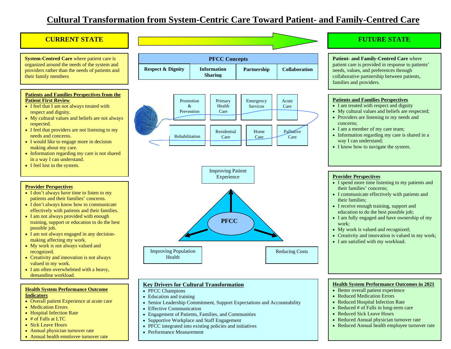## **Cultural Transformation from System-Centric Care Toward Patient- and Family-Centred Care**

#### **CURRENT STATE**

**System-Centred Care** where patient care is organized around the needs of the system and providers rather than the needs of patients and their family members

#### **Patients and Families Perspectives from the Patient First Review**

- I feel that I am not always treated with respect and dignity.
- My cultural values and beliefs are not always respected.
- I feel that providers are not listening to my needs and concerns.
- I would like to engage more in decision making about my care.
- Information regarding my care is not shared in a way I can understand.
- I feel lost in the system.

#### **Provider Perspectives**

- I don't always have time to listen to my patients and their families' concerns.
- I don't always know how to communicate effectively with patients and their families.
- I am not always provided with enough training, support or education to do the best possible job.
- I am not always engaged in any decisionmaking affecting my work.
- My work is not always valued and recognized.
- Creativity and innovation is not always valued in my work.
- I am often overwhelmed with a heavy, demanding workload.

#### **Health System Performance Outcome Indicators**

- Overall patient Experience at acute care
- Medication Errors
- Hospital Infection Rate
- # of Falls at LTC
- Sick Leave Hours
- Annual physician turnover rate
- Annual health employee turnover rate

| <b>PFCC Concepts</b>         |                                      |                    |                      |
|------------------------------|--------------------------------------|--------------------|----------------------|
| <b>Respect &amp; Dignity</b> | <b>Information</b><br><b>Sharing</b> | <b>Partnership</b> | <b>Collaboration</b> |





#### **Key Drivers for Cultural Transformation**

- PFCC Champions
- Education and training
- Senior Leadership Commitment, Support Expectations and Accountability
- Effective Communication
- Engagement of Patients, Families, and Communities
- Supportive Workplace and Staff Engagement
- PFCC integrated into existing policies and initiatives
- Performance Measurement

### **FUTURE STATE**

**Patient- and Family-Centred Care** where patient care is provided in response to patients' needs, values, and preferences through collaborative partnership between patients, families and providers.

#### **Patients and Families Perspectives**

- I am treated with respect and dignity
- My cultural values and beliefs are respected;
- Providers are listening to my needs and concerns;
- I am a member of my care team;
- Information regarding my care is shared in a way I can understand;
- I know how to navigate the system.

#### **Provider Perspectives**

- I spend more time listening to my patients and their families' concerns;
- I communicate effectively with patients and their families;
- I receive enough training, support and education to do the best possible job;
- I am fully engaged and have ownership of my work;
- My work is valued and recognized;
- Creativity and innovation is valued in my work;
- I am satisfied with my workload.

#### **Health System Performance Outcomes in 2021**

- Better overall patient experience
- Reduced Medication Errors
- Reduced Hospital Infection Rate
- Reduced # of Falls in long-term care
- Reduced Sick Leave Hours
- Reduced Annual physician turnover rate
- Reduced Annual health employee turnover rate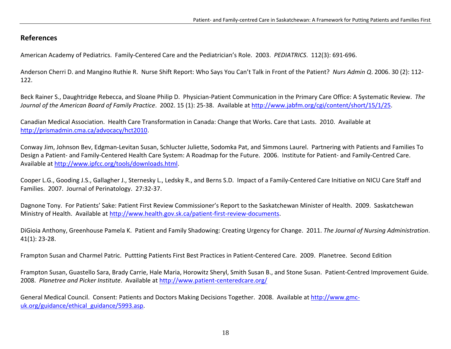### **References**

American Academy of Pediatrics. Family‐Centered Care and the Pediatrician's Role. 2003. *PEDIATRICS*. 112(3): 691‐696.

Anderson Cherri D. and Mangino Ruthie R. Nurse Shift Report: Who Says You Can't Talk in Front of the Patient? *Nurs Admin Q*. 2006. 30 (2): 112‐ 122.

Beck Rainer S., Daughtridge Rebecca, and Sloane Philip D. Physician‐Patient Communication in the Primary Care Office: A Systematic Review. *The Journal of the American Board of Family Practice*. 2002. 15 (1): 25‐38. Available at <http://www.jabfm.org/cgi/content/short/15/1/25>.

Canadian Medical Association. Health Care Transformation in Canada: Change that Works. Care that Lasts. 2010. Available at <http://prismadmin.cma.ca/advocacy/hct2010>.

Conway Jim, Johnson Bev, Edgman‐Levitan Susan, Schlucter Juliette, Sodomka Pat, and Simmons Laurel. Partnering with Patients and Families To Design a Patient- and Family-Centered Health Care System: A Roadmap for the Future. 2006. Institute for Patient- and Family-Centred Care. Available at <http://www.ipfcc.org/tools/downloads.html>.

Cooper L.G., Gooding J.S., Gallagher J., Sternesky L., Ledsky R., and Berns S.D. Impact of <sup>a</sup> Family‐Centered Care Initiative on NICU Care Staff and Families. 2007. Journal of Perinatology. 27:32‐37.

Dagnone Tony. For Patients' Sake: Patient First Review Commissioner's Report to the Saskatchewan Minister of Health. 2009. Saskatchewan Ministry of Health. Available at [http://www.health.gov.sk.ca/patient](http://www.health.gov.sk.ca/patient-first-review-documents)-first-review-documents.

DiGioia Anthony, Greenhouse Pamela K. Patient and Family Shadowing: Creating Urgency for Change. 2011. *The Journal of Nursing Administration*. 41(1): 23‐28.

Frampton Susan and Charmel Patric. Puttting Patients First Best Practices in Patient‐Centered Care. 2009. Planetree. Second Edition

Frampton Susan, Guastello Sara, Brady Carrie, Hale Maria, Horowitz Sheryl, Smith Susan B., and Stone Susan. Patient‐Centred Improvement Guide. 2008. *Planetree and Picker Institute*. Available at [http://www.patient](http://www.patient-centeredcare.org/)‐centeredcare.org/

General Medical Council. Consent: Patients and Doctors Making Decisions Together. 2008. Available at <u>[http://www.gmc](http://www.gmc-uk.org/guidance/ethical_guidance/5993.asp)-</u> [uk.org/guidance/ethical\\_guidance/5993.asp](http://www.gmc-uk.org/guidance/ethical_guidance/5993.asp).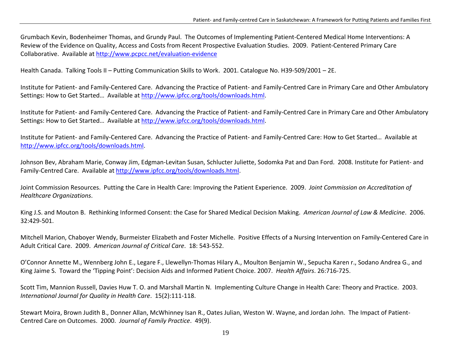Grumbach Kevin, Bodenheimer Thomas, and Grundy Paul. The Outcomes of Implementing Patient‐Centered Medical Home Interventions: A Review of the Evidence on Quality, Access and Costs from Recent Prospective Evaluation Studies. 2009. Patient‐Centered Primary Care Collaborative. Available at [http://www.pcpcc.net/evaluation](http://www.pcpcc.net/evaluation-evidence)-evidence

Health Canada. Talking Tools II – Putting Communication Skills to Work. 2001. Catalogue No. H39‐509/2001 – 2E.

Institute for Patient‐ and Family‐Centered Care. Advancing the Practice of Patient‐ and Family‐Centred Care in Primary Care and Other Ambulatory Settings: How to Get Started... Available at <http://www.ipfcc.org/tools/downloads.html>.

Institute for Patient‐ and Family‐Centered Care. Advancing the Practice of Patient‐ and Family‐Centred Care in Primary Care and Other Ambulatory Settings: How to Get Started… Available at <http://www.ipfcc.org/tools/downloads.html>.

Institute for Patient‐ and Family‐Centered Care. Advancing the Practice of Patient‐ and Family‐Centred Care: How to Get Started… Available at <http://www.ipfcc.org/tools/downloads.html>.

Johnson Bev, Abraham Marie, Conway Jim, Edgman‐Levitan Susan, Schlucter Juliette, Sodomka Pat and Dan Ford. 2008. Institute for Patient‐ and Family‐Centred Care. Available at <http://www.ipfcc.org/tools/downloads.html>.

Joint Commission Resources. Putting the Care in Health Care: Improving the Patient Experience. 2009. *Joint Commission on Accreditation of Healthcare Organizations*.

King J.S. and Mouton B. Rethinking Informed Consent: the Case for Shared Medical Decision Making. *American Journal of Law & Medicine*. 2006. 32:429‐501.

Mitchell Marion, Chaboyer Wendy, Burmeister Elizabeth and Foster Michelle. Positive Effects of <sup>a</sup> Nursing Intervention on Family‐Centered Care in Adult Critical Care. 2009. *American Journal of Critical Care*. 18: 543‐552.

O'Connor Annette M., Wennberg John E., Legare F., Llewellyn‐Thomas Hilary A., Moulton Benjamin W., Sepucha Karen r., Sodano Andrea G., and King Jaime S. Toward the 'Tipping Point': Decision Aids and Informed Patient Choice. 2007. *Health Affairs*. 26:716‐725.

Scott Tim, Mannion Russell, Davies Huw T. O. and Marshall Martin N. Implementing Culture Change in Health Care: Theory and Practice. 2003. *International Journal for Quality in Health Care*. 15(2):111‐118.

Stewart Moira, Brown Judith B., Donner Allan, McWhinney Isan R., Oates Julian, Weston W. Wayne, and Jordan John. The Impact of Patient‐ Centred Care on Outcomes. 2000. *Journal of Family Practice*. 49(9).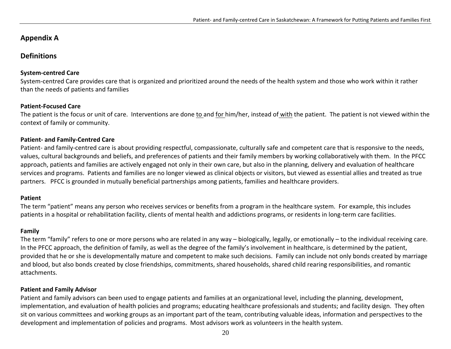### **Appendix A**

### **Definitions**

#### **System‐centred Care**

System-centred Care provides care that is organized and prioritized around the needs of the health system and those who work within it rather than the needs of patients and families

#### **Patient‐Focused Care**

The patient is the focus or unit of care. Interventions are done <u>to and for him</u>/her, instead of with the patient. The patient is not viewed within the context of family or community.

#### **Patient‐ and Family‐Centred Care**

Patient‐ and family‐centred care is about providing respectful, compassionate, culturally safe and competent care that is responsive to the needs, values, cultural backgrounds and beliefs, and preferences of patients and their family members by working collaboratively with them. In the PFCC approach, patients and families are actively engaged not only in their own care, but also in the planning, delivery and evaluation of healthcare services and programs. Patients and families are no longer viewed as clinical objects or visitors, but viewed as essential allies and treated as true partners. PFCC is grounded in mutually beneficial partnerships among patients, families and healthcare providers.

#### **Patient**

The term "patient" means any person who receives services or benefits from <sup>a</sup> program in the healthcare system. For example, this includes patients in a hospital or rehabilitation facility, clients of mental health and addictions programs, or residents in long-term care facilities.

#### **Family**

The term "family" refers to one or more persons who are related in any way – biologically, legally, or emotionally – to the individual receiving care. In the PFCC approach, the definition of family, as well as the degree of the family's involvement in healthcare, is determined by the patient, provided that he or she is developmentally mature and competent to make such decisions. Family can include not only bonds created by marriage and blood, but also bonds created by close friendships, commitments, shared households, shared child rearing responsibilities, and romantic attachments.

#### **Patient and Family Advisor**

Patient and family advisors can been used to engage patients and families at an organizational level, including the planning, development, implementation, and evaluation of health policies and programs; educating healthcare professionals and students; and facility design. They often sit on various committees and working groups as an important part of the team, contributing valuable ideas, information and perspectives to the development and implementation of policies and programs. Most advisors work as volunteers in the health system.